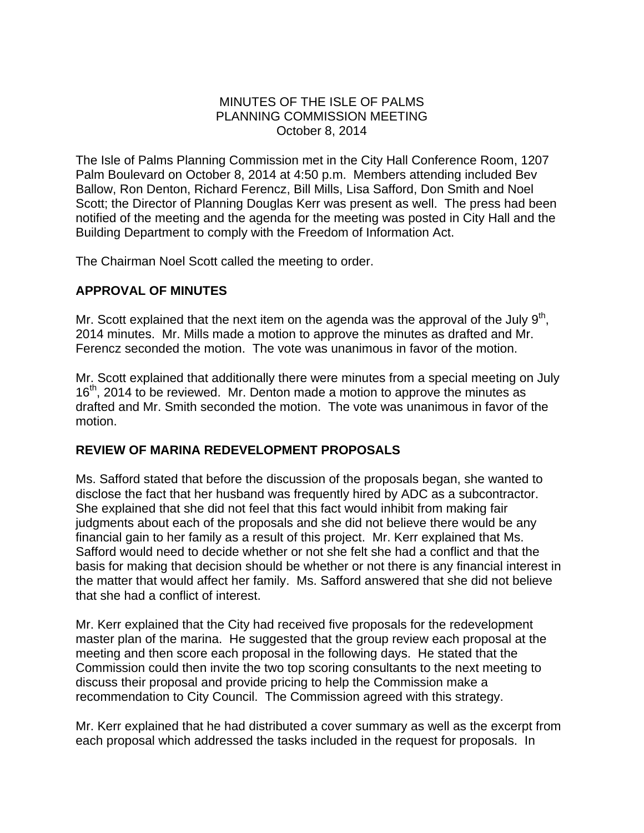### MINUTES OF THE ISLE OF PALMS PLANNING COMMISSION MEETING October 8, 2014

The Isle of Palms Planning Commission met in the City Hall Conference Room, 1207 Palm Boulevard on October 8, 2014 at 4:50 p.m. Members attending included Bev Ballow, Ron Denton, Richard Ferencz, Bill Mills, Lisa Safford, Don Smith and Noel Scott; the Director of Planning Douglas Kerr was present as well. The press had been notified of the meeting and the agenda for the meeting was posted in City Hall and the Building Department to comply with the Freedom of Information Act.

The Chairman Noel Scott called the meeting to order.

# **APPROVAL OF MINUTES**

Mr. Scott explained that the next item on the agenda was the approval of the July  $9<sup>th</sup>$ , 2014 minutes. Mr. Mills made a motion to approve the minutes as drafted and Mr. Ferencz seconded the motion. The vote was unanimous in favor of the motion.

Mr. Scott explained that additionally there were minutes from a special meeting on July 16<sup>th</sup>, 2014 to be reviewed. Mr. Denton made a motion to approve the minutes as drafted and Mr. Smith seconded the motion. The vote was unanimous in favor of the motion.

### **REVIEW OF MARINA REDEVELOPMENT PROPOSALS**

Ms. Safford stated that before the discussion of the proposals began, she wanted to disclose the fact that her husband was frequently hired by ADC as a subcontractor. She explained that she did not feel that this fact would inhibit from making fair judgments about each of the proposals and she did not believe there would be any financial gain to her family as a result of this project. Mr. Kerr explained that Ms. Safford would need to decide whether or not she felt she had a conflict and that the basis for making that decision should be whether or not there is any financial interest in the matter that would affect her family. Ms. Safford answered that she did not believe that she had a conflict of interest.

Mr. Kerr explained that the City had received five proposals for the redevelopment master plan of the marina. He suggested that the group review each proposal at the meeting and then score each proposal in the following days. He stated that the Commission could then invite the two top scoring consultants to the next meeting to discuss their proposal and provide pricing to help the Commission make a recommendation to City Council. The Commission agreed with this strategy.

Mr. Kerr explained that he had distributed a cover summary as well as the excerpt from each proposal which addressed the tasks included in the request for proposals. In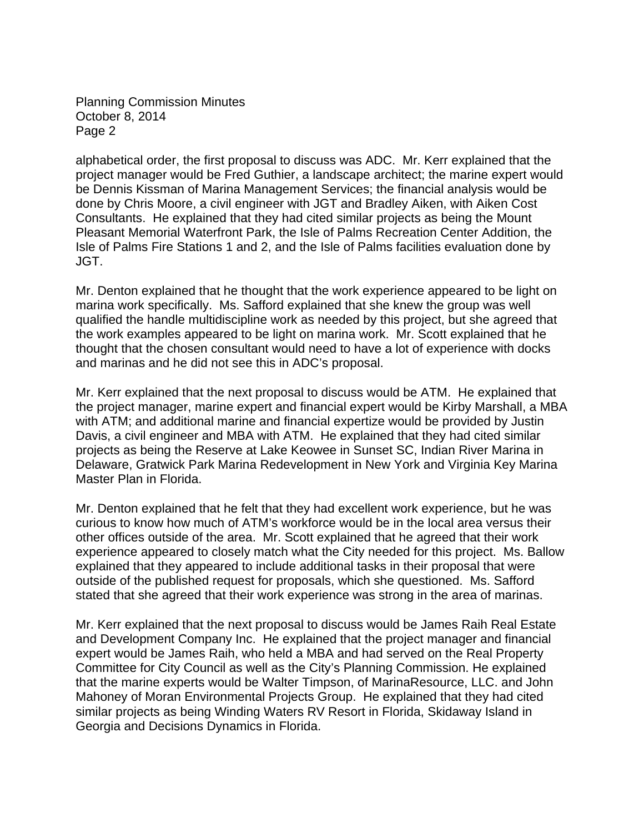Planning Commission Minutes October 8, 2014 Page 2

alphabetical order, the first proposal to discuss was ADC. Mr. Kerr explained that the project manager would be Fred Guthier, a landscape architect; the marine expert would be Dennis Kissman of Marina Management Services; the financial analysis would be done by Chris Moore, a civil engineer with JGT and Bradley Aiken, with Aiken Cost Consultants. He explained that they had cited similar projects as being the Mount Pleasant Memorial Waterfront Park, the Isle of Palms Recreation Center Addition, the Isle of Palms Fire Stations 1 and 2, and the Isle of Palms facilities evaluation done by JGT.

Mr. Denton explained that he thought that the work experience appeared to be light on marina work specifically. Ms. Safford explained that she knew the group was well qualified the handle multidiscipline work as needed by this project, but she agreed that the work examples appeared to be light on marina work. Mr. Scott explained that he thought that the chosen consultant would need to have a lot of experience with docks and marinas and he did not see this in ADC's proposal.

Mr. Kerr explained that the next proposal to discuss would be ATM. He explained that the project manager, marine expert and financial expert would be Kirby Marshall, a MBA with ATM; and additional marine and financial expertize would be provided by Justin Davis, a civil engineer and MBA with ATM. He explained that they had cited similar projects as being the Reserve at Lake Keowee in Sunset SC, Indian River Marina in Delaware, Gratwick Park Marina Redevelopment in New York and Virginia Key Marina Master Plan in Florida.

Mr. Denton explained that he felt that they had excellent work experience, but he was curious to know how much of ATM's workforce would be in the local area versus their other offices outside of the area. Mr. Scott explained that he agreed that their work experience appeared to closely match what the City needed for this project. Ms. Ballow explained that they appeared to include additional tasks in their proposal that were outside of the published request for proposals, which she questioned. Ms. Safford stated that she agreed that their work experience was strong in the area of marinas.

Mr. Kerr explained that the next proposal to discuss would be James Raih Real Estate and Development Company Inc. He explained that the project manager and financial expert would be James Raih, who held a MBA and had served on the Real Property Committee for City Council as well as the City's Planning Commission. He explained that the marine experts would be Walter Timpson, of MarinaResource, LLC. and John Mahoney of Moran Environmental Projects Group. He explained that they had cited similar projects as being Winding Waters RV Resort in Florida, Skidaway Island in Georgia and Decisions Dynamics in Florida.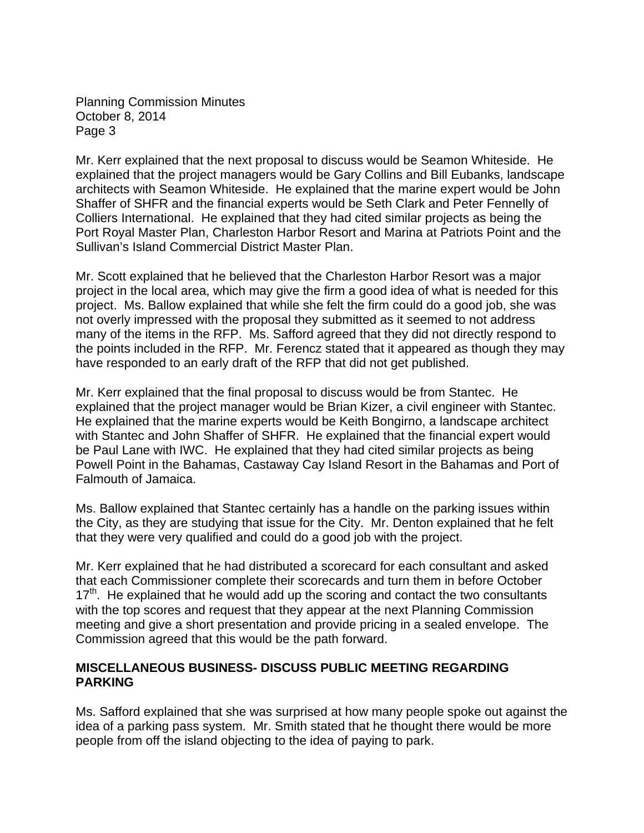Planning Commission Minutes October 8, 2014 Page 3

Mr. Kerr explained that the next proposal to discuss would be Seamon Whiteside. He explained that the project managers would be Gary Collins and Bill Eubanks, landscape architects with Seamon Whiteside. He explained that the marine expert would be John Shaffer of SHFR and the financial experts would be Seth Clark and Peter Fennelly of Colliers International. He explained that they had cited similar projects as being the Port Royal Master Plan, Charleston Harbor Resort and Marina at Patriots Point and the Sullivan's Island Commercial District Master Plan.

Mr. Scott explained that he believed that the Charleston Harbor Resort was a major project in the local area, which may give the firm a good idea of what is needed for this project. Ms. Ballow explained that while she felt the firm could do a good job, she was not overly impressed with the proposal they submitted as it seemed to not address many of the items in the RFP. Ms. Safford agreed that they did not directly respond to the points included in the RFP. Mr. Ferencz stated that it appeared as though they may have responded to an early draft of the RFP that did not get published.

Mr. Kerr explained that the final proposal to discuss would be from Stantec. He explained that the project manager would be Brian Kizer, a civil engineer with Stantec. He explained that the marine experts would be Keith Bongirno, a landscape architect with Stantec and John Shaffer of SHFR. He explained that the financial expert would be Paul Lane with IWC. He explained that they had cited similar projects as being Powell Point in the Bahamas, Castaway Cay Island Resort in the Bahamas and Port of Falmouth of Jamaica.

Ms. Ballow explained that Stantec certainly has a handle on the parking issues within the City, as they are studying that issue for the City. Mr. Denton explained that he felt that they were very qualified and could do a good job with the project.

Mr. Kerr explained that he had distributed a scorecard for each consultant and asked that each Commissioner complete their scorecards and turn them in before October  $17<sup>th</sup>$ . He explained that he would add up the scoring and contact the two consultants with the top scores and request that they appear at the next Planning Commission meeting and give a short presentation and provide pricing in a sealed envelope. The Commission agreed that this would be the path forward.

### **MISCELLANEOUS BUSINESS- DISCUSS PUBLIC MEETING REGARDING PARKING**

Ms. Safford explained that she was surprised at how many people spoke out against the idea of a parking pass system. Mr. Smith stated that he thought there would be more people from off the island objecting to the idea of paying to park.